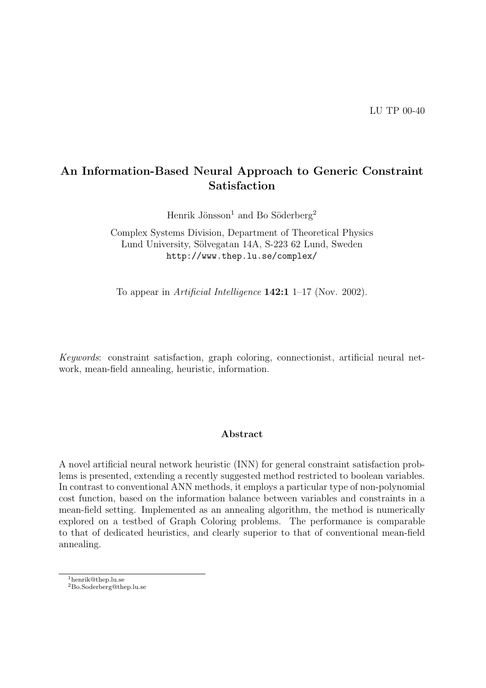# An Information-Based Neural Approach to Generic Constraint Satisfaction

Henrik Jönsson<sup>1</sup> and Bo Söderberg<sup>2</sup>

Complex Systems Division, Department of Theoretical Physics Lund University, Sölvegatan 14A, S-223 62 Lund, Sweden http://www.thep.lu.se/complex/

To appear in *Artificial Intelligence* **142:1** 1–17 (Nov. 2002).

Keywords: constraint satisfaction, graph coloring, connectionist, artificial neural network, mean-field annealing, heuristic, information.

## Abstract

A novel artificial neural network heuristic (INN) for general constraint satisfaction problems is presented, extending a recently suggested method restricted to boolean variables. In contrast to conventional ANN methods, it employs a particular type of non-polynomial cost function, based on the information balance between variables and constraints in a mean-field setting. Implemented as an annealing algorithm, the method is numerically explored on a testbed of Graph Coloring problems. The performance is comparable to that of dedicated heuristics, and clearly superior to that of conventional mean-field annealing.

<sup>1</sup>henrik@thep.lu.se

<sup>2</sup>Bo.Soderberg@thep.lu.se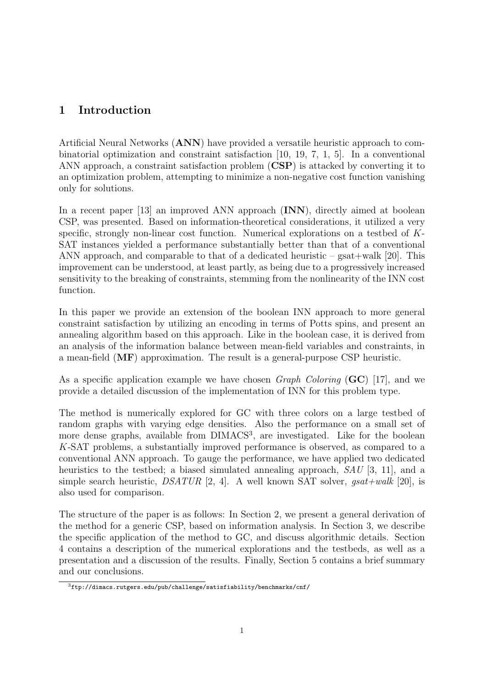# 1 Introduction

Artificial Neural Networks (ANN) have provided a versatile heuristic approach to combinatorial optimization and constraint satisfaction [10, 19, 7, 1, 5]. In a conventional ANN approach, a constraint satisfaction problem (CSP) is attacked by converting it to an optimization problem, attempting to minimize a non-negative cost function vanishing only for solutions.

In a recent paper [13] an improved ANN approach (INN), directly aimed at boolean CSP, was presented. Based on information-theoretical considerations, it utilized a very specific, strongly non-linear cost function. Numerical explorations on a testbed of K-SAT instances yielded a performance substantially better than that of a conventional ANN approach, and comparable to that of a dedicated heuristic –  $\text{gsat}+\text{walk}$  [20]. This improvement can be understood, at least partly, as being due to a progressively increased sensitivity to the breaking of constraints, stemming from the nonlinearity of the INN cost function.

In this paper we provide an extension of the boolean INN approach to more general constraint satisfaction by utilizing an encoding in terms of Potts spins, and present an annealing algorithm based on this approach. Like in the boolean case, it is derived from an analysis of the information balance between mean-field variables and constraints, in a mean-field (MF) approximation. The result is a general-purpose CSP heuristic.

As a specific application example we have chosen *Graph Coloring*  $(GC)$  [17], and we provide a detailed discussion of the implementation of INN for this problem type.

The method is numerically explored for GC with three colors on a large testbed of random graphs with varying edge densities. Also the performance on a small set of more dense graphs, available from DIMACS<sup>3</sup>, are investigated. Like for the boolean K-SAT problems, a substantially improved performance is observed, as compared to a conventional ANN approach. To gauge the performance, we have applied two dedicated heuristics to the testbed; a biased simulated annealing approach,  $SAU$  [3, 11], and a simple search heuristic,  $DSATUR$  [2, 4]. A well known SAT solver,  $gsat+walk$  [20], is also used for comparison.

The structure of the paper is as follows: In Section 2, we present a general derivation of the method for a generic CSP, based on information analysis. In Section 3, we describe the specific application of the method to GC, and discuss algorithmic details. Section 4 contains a description of the numerical explorations and the testbeds, as well as a presentation and a discussion of the results. Finally, Section 5 contains a brief summary and our conclusions.

 $3$ ftp://dimacs.rutgers.edu/pub/challenge/satisfiability/benchmarks/cnf/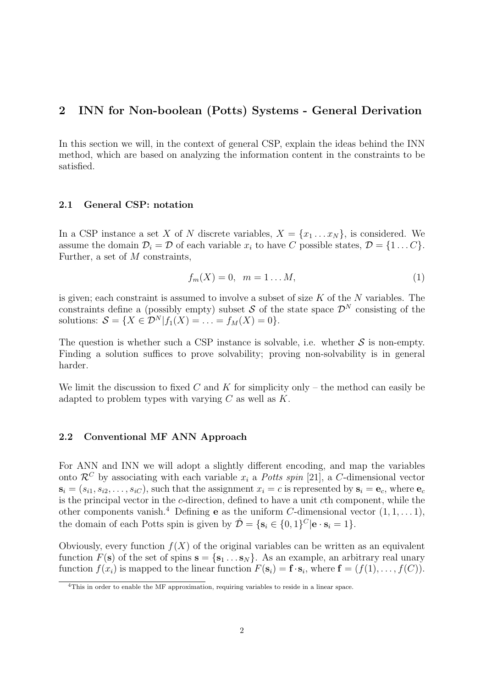# 2 INN for Non-boolean (Potts) Systems - General Derivation

In this section we will, in the context of general CSP, explain the ideas behind the INN method, which are based on analyzing the information content in the constraints to be satisfied.

## 2.1 General CSP: notation

In a CSP instance a set X of N discrete variables,  $X = \{x_1 \dots x_N\}$ , is considered. We assume the domain  $\mathcal{D}_i = \mathcal{D}$  of each variable  $x_i$  to have C possible states,  $\mathcal{D} = \{1 \dots C\}$ . Further, a set of M constraints,

$$
f_m(X) = 0, \ \ m = 1...M,\tag{1}
$$

is given; each constraint is assumed to involve a subset of size  $K$  of the  $N$  variables. The constraints define a (possibly empty) subset S of the state space  $\mathcal{D}^N$  consisting of the solutions:  $\mathcal{S} = \{X \in \mathcal{D}^N | f_1(X) = \ldots = f_M(X) = 0\}.$ 

The question is whether such a CSP instance is solvable, i.e. whether  $S$  is non-empty. Finding a solution suffices to prove solvability; proving non-solvability is in general harder.

We limit the discussion to fixed C and K for simplicity only – the method can easily be adapted to problem types with varying  $C$  as well as  $K$ .

## 2.2 Conventional MF ANN Approach

For ANN and INN we will adopt a slightly different encoding, and map the variables onto  $\mathcal{R}^C$  by associating with each variable  $x_i$  a Potts spin [21], a C-dimensional vector  $s_i = (s_{i1}, s_{i2}, \ldots, s_{iC})$ , such that the assignment  $x_i = c$  is represented by  $s_i = e_c$ , where  $e_c$ is the principal vector in the c-direction, defined to have a unit cth component, while the other components vanish.<sup>4</sup> Defining **e** as the uniform C-dimensional vector  $(1, 1, \ldots, 1)$ , the domain of each Potts spin is given by  $\hat{\mathcal{D}} = \{ \mathbf{s}_i \in \{0, 1\}^C | \mathbf{e} \cdot \mathbf{s}_i = 1 \}.$ 

Obviously, every function  $f(X)$  of the original variables can be written as an equivalent function  $F(\mathbf{s})$  of the set of spins  $\mathbf{s} = \{\mathbf{s}_1 \dots \mathbf{s}_N\}$ . As an example, an arbitrary real unary function  $f(x_i)$  is mapped to the linear function  $F(\mathbf{s}_i) = \mathbf{f} \cdot \mathbf{s}_i$ , where  $\mathbf{f} = (f(1), \ldots, f(C)).$ 

<sup>4</sup>This in order to enable the MF approximation, requiring variables to reside in a linear space.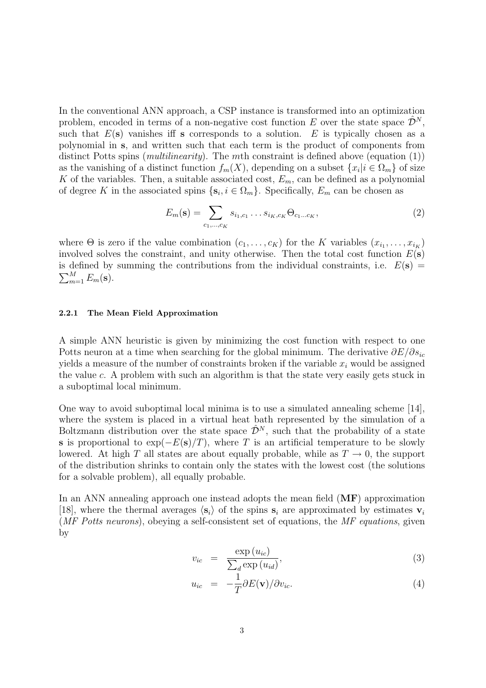In the conventional ANN approach, a CSP instance is transformed into an optimization problem, encoded in terms of a non-negative cost function E over the state space  $\hat{\mathcal{D}}^N$ , such that  $E(s)$  vanishes iff s corresponds to a solution. E is typically chosen as a polynomial in s, and written such that each term is the product of components from distinct Potts spins (*multilinearity*). The *mth* constraint is defined above (equation (1)) as the vanishing of a distinct function  $f_m(X)$ , depending on a subset  $\{x_i | i \in \Omega_m\}$  of size K of the variables. Then, a suitable associated cost,  $E_m$ , can be defined as a polynomial of degree K in the associated spins  $\{s_i, i \in \Omega_m\}$ . Specifically,  $E_m$  can be chosen as

$$
E_m(\mathbf{s}) = \sum_{c_1, ..., c_K} s_{i_1, c_1} \dots s_{i_K, c_K} \Theta_{c_1 \dots c_K},
$$
\n(2)

where  $\Theta$  is zero if the value combination  $(c_1, \ldots, c_K)$  for the K variables  $(x_{i_1}, \ldots, x_{i_K})$ involved solves the constraint, and unity otherwise. Then the total cost function  $E(\mathbf{s})$ is defined by summing the contributions from the individual constraints, i.e.  $E(\mathbf{s}) =$ is defined by<br> $\sum_{m=1}^{M} E_m(\mathbf{s}).$ 

#### 2.2.1 The Mean Field Approximation

A simple ANN heuristic is given by minimizing the cost function with respect to one Potts neuron at a time when searching for the global minimum. The derivative  $\partial E/\partial s_{ic}$ yields a measure of the number of constraints broken if the variable  $x_i$  would be assigned the value c. A problem with such an algorithm is that the state very easily gets stuck in a suboptimal local minimum.

One way to avoid suboptimal local minima is to use a simulated annealing scheme [14], where the system is placed in a virtual heat bath represented by the simulation of a Boltzmann distribution over the state space  $\hat{\mathcal{D}}^N$ , such that the probability of a state s is proportional to  $\exp(-E(s)/T)$ , where T is an artificial temperature to be slowly lowered. At high T all states are about equally probable, while as  $T \to 0$ , the support of the distribution shrinks to contain only the states with the lowest cost (the solutions for a solvable problem), all equally probable.

In an ANN annealing approach one instead adopts the mean field (MF) approximation [18], where the thermal averages  $\langle s_i \rangle$  of the spins  $s_i$  are approximated by estimates  $v_i$ (MF Potts neurons), obeying a self-consistent set of equations, the MF equations, given by

$$
v_{ic} = \frac{\exp(u_{ic})}{\sum_{d} \exp(u_{id})},\tag{3}
$$

$$
u_{ic} = -\frac{1}{T} \partial E(\mathbf{v}) / \partial v_{ic}.
$$
 (4)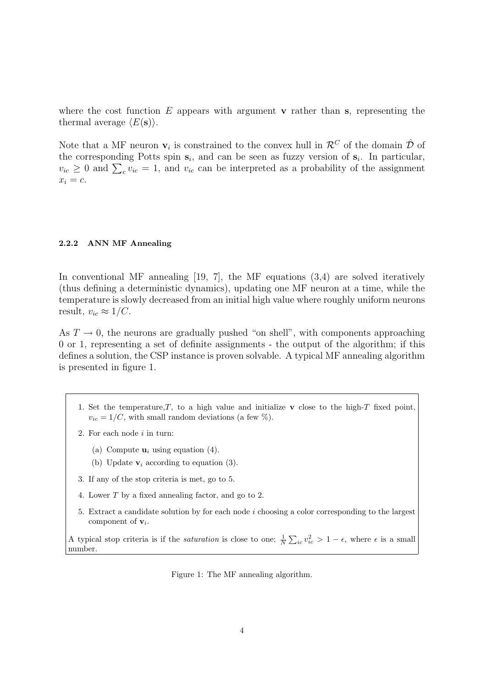where the cost function E appears with argument  $\bf{v}$  rather than s, representing the thermal average  $\langle E(\mathbf{s})\rangle$ .

Note that a MF neuron  $\mathbf{v}_i$  is constrained to the convex hull in  $\mathcal{R}^C$  of the domain  $\hat{\mathcal{D}}$  of the corresponding Potts spin  $s_i$ , and can be seen as fuzzy version of  $s_i$ . In particular, the corresponding Potts spin  $\mathbf{s}_i$ , and can be seen as fuzzy version of  $\mathbf{s}_i$ . In particular,  $v_{ic} \geq 0$  and  $\sum_c v_{ic} = 1$ , and  $v_{ic}$  can be interpreted as a probability of the assignment  $x_i = c$ .

#### 2.2.2 ANN MF Annealing

In conventional MF annealing  $[19, 7]$ , the MF equations  $(3,4)$  are solved iteratively (thus defining a deterministic dynamics), updating one MF neuron at a time, while the temperature is slowly decreased from an initial high value where roughly uniform neurons result,  $v_{ic} \approx 1/C$ .

As  $T \to 0$ , the neurons are gradually pushed "on shell", with components approaching 0 or 1, representing a set of definite assignments - the output of the algorithm; if this defines a solution, the CSP instance is proven solvable. A typical MF annealing algorithm is presented in figure 1.

- 1. Set the temperature,  $T$ , to a high value and initialize v close to the high- $T$  fixed point,  $v_{ic} = 1/C$ , with small random deviations (a few %).
- 2. For each node  $i$  in turn:
	- (a) Compute  $\mathbf{u}_i$  using equation (4).
	- (b) Update  $v_i$  according to equation (3).
- 3. If any of the stop criteria is met, go to 5.
- 4. Lower T by a fixed annealing factor, and go to 2.
- 5. Extract a candidate solution by for each node i choosing a color corresponding to the largest component of  $v_i$ .

A typical stop criteria is if the *saturation* is close to one;  $\frac{1}{N}$  $\sum_{ic} v_{ic}^2 > 1 - \epsilon$ , where  $\epsilon$  is a small number.

Figure 1: The MF annealing algorithm.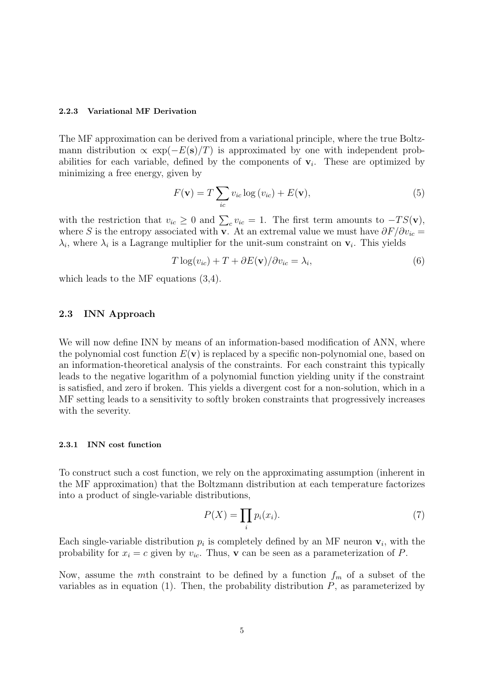#### 2.2.3 Variational MF Derivation

The MF approximation can be derived from a variational principle, where the true Boltzmann distribution  $\propto \exp(-E(s)/T)$  is approximated by one with independent probabilities for each variable, defined by the components of  $v_i$ . These are optimized by minimizing a free energy, given by

$$
F(\mathbf{v}) = T \sum_{ic} v_{ic} \log(v_{ic}) + E(\mathbf{v}),
$$
\n(5)

with the restriction that  $v_{ic} \geq 0$  and  $\sum_{c} v_{ic} = 1$ . The first term amounts to  $-TS(\mathbf{v})$ , where S is the entropy associated with v. At an extremal value we must have  $\partial F/\partial v_{ic} =$  $\lambda_i$ , where  $\lambda_i$  is a Lagrange multiplier for the unit-sum constraint on  $\mathbf{v}_i$ . This yields

$$
T \log(v_{ic}) + T + \partial E(\mathbf{v}) / \partial v_{ic} = \lambda_i,
$$
\n(6)

which leads to the MF equations (3,4).

## 2.3 INN Approach

We will now define INN by means of an information-based modification of ANN, where the polynomial cost function  $E(\mathbf{v})$  is replaced by a specific non-polynomial one, based on an information-theoretical analysis of the constraints. For each constraint this typically leads to the negative logarithm of a polynomial function yielding unity if the constraint is satisfied, and zero if broken. This yields a divergent cost for a non-solution, which in a MF setting leads to a sensitivity to softly broken constraints that progressively increases with the severity.

#### 2.3.1 INN cost function

To construct such a cost function, we rely on the approximating assumption (inherent in the MF approximation) that the Boltzmann distribution at each temperature factorizes into a product of single-variable distributions,

$$
P(X) = \prod_{i} p_i(x_i). \tag{7}
$$

Each single-variable distribution  $p_i$  is completely defined by an MF neuron  $\mathbf{v}_i$ , with the probability for  $x_i = c$  given by  $v_{ic}$ . Thus, **v** can be seen as a parameterization of P.

Now, assume the mth constraint to be defined by a function  $f_m$  of a subset of the variables as in equation  $(1)$ . Then, the probability distribution  $P$ , as parameterized by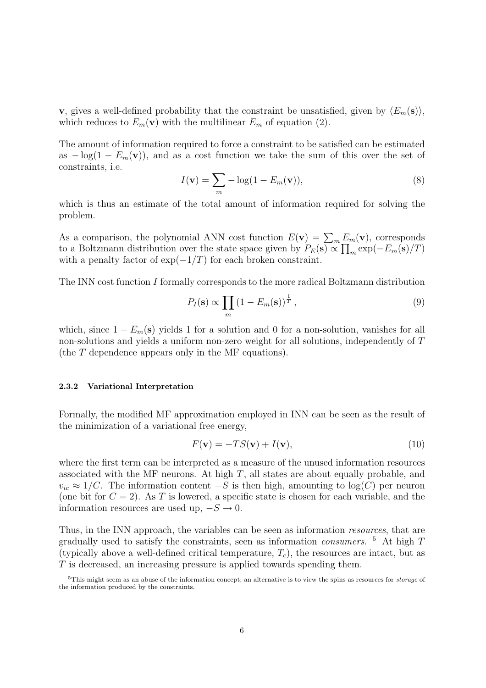**v**, gives a well-defined probability that the constraint be unsatisfied, given by  $\langle E_m(\mathbf{s})\rangle$ , which reduces to  $E_m(\mathbf{v})$  with the multilinear  $E_m$  of equation (2).

The amount of information required to force a constraint to be satisfied can be estimated as  $-\log(1 - E_m(\mathbf{v}))$ , and as a cost function we take the sum of this over the set of constraints, i.e.

$$
I(\mathbf{v}) = \sum_{m} -\log(1 - E_m(\mathbf{v})),
$$
\n(8)

which is thus an estimate of the total amount of information required for solving the problem.

As a comparison, the polynomial ANN cost function  $E(\mathbf{v}) = \sum_m E_m(\mathbf{v})$ , corresponds to a Boltzmann distribution over the state space given by  $P_E(\mathbf{s}) \propto \prod_m \exp(-E_m(\mathbf{s})/T)$ with a penalty factor of  $\exp(-1/T)$  for each broken constraint.

The INN cost function I formally corresponds to the more radical Boltzmann distribution

$$
P_I(\mathbf{s}) \propto \prod_m \left(1 - E_m(\mathbf{s})\right)^{\frac{1}{T}},\tag{9}
$$

which, since  $1 - E_m(s)$  yields 1 for a solution and 0 for a non-solution, vanishes for all non-solutions and yields a uniform non-zero weight for all solutions, independently of T (the T dependence appears only in the MF equations).

#### 2.3.2 Variational Interpretation

Formally, the modified MF approximation employed in INN can be seen as the result of the minimization of a variational free energy,

$$
F(\mathbf{v}) = -TS(\mathbf{v}) + I(\mathbf{v}),\tag{10}
$$

where the first term can be interpreted as a measure of the unused information resources associated with the MF neurons. At high  $T$ , all states are about equally probable, and  $v_{ic} \approx 1/C$ . The information content  $-S$  is then high, amounting to log(C) per neuron (one bit for  $C = 2$ ). As T is lowered, a specific state is chosen for each variable, and the information resources are used up,  $-S \rightarrow 0$ .

Thus, in the INN approach, the variables can be seen as information *resources*, that are gradually used to satisfy the constraints, seen as information *consumers*. <sup>5</sup> At high  $T$ (typically above a well-defined critical temperature,  $T_c$ ), the resources are intact, but as T is decreased, an increasing pressure is applied towards spending them.

<sup>&</sup>lt;sup>5</sup>This might seem as an abuse of the information concept; an alternative is to view the spins as resources for *storage* of the information produced by the constraints.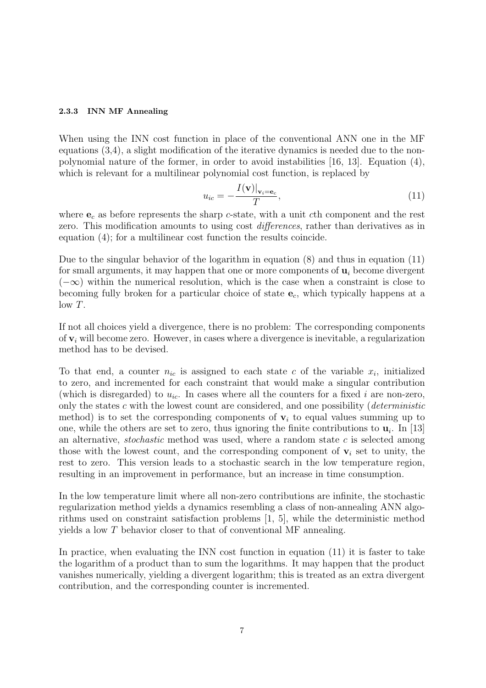#### 2.3.3 INN MF Annealing

When using the INN cost function in place of the conventional ANN one in the MF equations (3,4), a slight modification of the iterative dynamics is needed due to the nonpolynomial nature of the former, in order to avoid instabilities [16, 13]. Equation (4), which is relevant for a multilinear polynomial cost function, is replaced by

$$
u_{ic} = -\frac{I(\mathbf{v})|_{\mathbf{v}_i = \mathbf{e}_c}}{T},\tag{11}
$$

where  $e_c$  as before represents the sharp c-state, with a unit cth component and the rest zero. This modification amounts to using cost *differences*, rather than derivatives as in equation (4); for a multilinear cost function the results coincide.

Due to the singular behavior of the logarithm in equation (8) and thus in equation (11) for small arguments, it may happen that one or more components of  $\mathbf{u}_i$  become divergent  $(-\infty)$  within the numerical resolution, which is the case when a constraint is close to becoming fully broken for a particular choice of state  $e_c$ , which typically happens at a  $low T$ .

If not all choices yield a divergence, there is no problem: The corresponding components of  $\mathbf{v}_i$  will become zero. However, in cases where a divergence is inevitable, a regularization method has to be devised.

To that end, a counter  $n_{ic}$  is assigned to each state c of the variable  $x_i$ , initialized to zero, and incremented for each constraint that would make a singular contribution (which is disregarded) to  $u_{ic}$ . In cases where all the counters for a fixed i are non-zero, only the states c with the lowest count are considered, and one possibility (*deterministic* method) is to set the corresponding components of  $v_i$  to equal values summing up to one, while the others are set to zero, thus ignoring the finite contributions to  $\mathbf{u}_i$ . In [13] an alternative, *stochastic* method was used, where a random state c is selected among those with the lowest count, and the corresponding component of  $v_i$  set to unity, the rest to zero. This version leads to a stochastic search in the low temperature region, resulting in an improvement in performance, but an increase in time consumption.

In the low temperature limit where all non-zero contributions are infinite, the stochastic regularization method yields a dynamics resembling a class of non-annealing ANN algorithms used on constraint satisfaction problems [1, 5], while the deterministic method yields a low T behavior closer to that of conventional MF annealing.

In practice, when evaluating the INN cost function in equation (11) it is faster to take the logarithm of a product than to sum the logarithms. It may happen that the product vanishes numerically, yielding a divergent logarithm; this is treated as an extra divergent contribution, and the corresponding counter is incremented.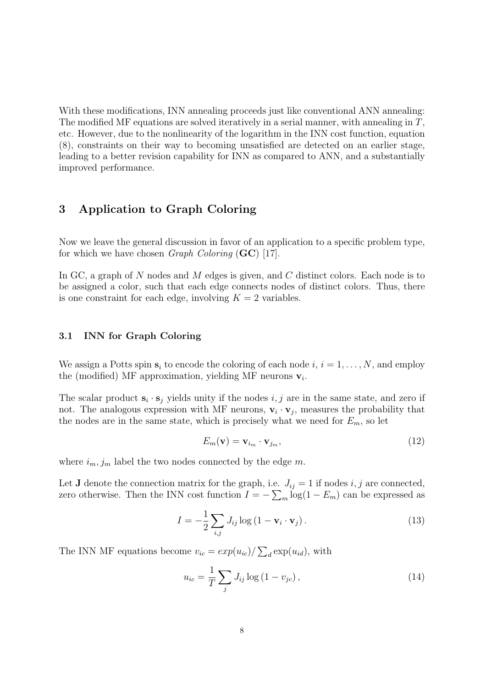With these modifications, INN annealing proceeds just like conventional ANN annealing: The modified MF equations are solved iteratively in a serial manner, with annealing in  $T$ , etc. However, due to the nonlinearity of the logarithm in the INN cost function, equation (8), constraints on their way to becoming unsatisfied are detected on an earlier stage, leading to a better revision capability for INN as compared to ANN, and a substantially improved performance.

# 3 Application to Graph Coloring

Now we leave the general discussion in favor of an application to a specific problem type, for which we have chosen *Graph Coloring*  $(GC)$  [17].

In GC, a graph of N nodes and M edges is given, and C distinct colors. Each node is to be assigned a color, such that each edge connects nodes of distinct colors. Thus, there is one constraint for each edge, involving  $K = 2$  variables.

## 3.1 INN for Graph Coloring

We assign a Potts spin  $s_i$  to encode the coloring of each node  $i, i = 1, \ldots, N$ , and employ the (modified) MF approximation, yielding MF neurons  $v_i$ .

The scalar product  $\mathbf{s}_i \cdot \mathbf{s}_j$  yields unity if the nodes  $i, j$  are in the same state, and zero if not. The analogous expression with MF neurons,  $\mathbf{v}_i \cdot \mathbf{v}_j$ , measures the probability that the nodes are in the same state, which is precisely what we need for  $E_m$ , so let

$$
E_m(\mathbf{v}) = \mathbf{v}_{i_m} \cdot \mathbf{v}_{j_m},\tag{12}
$$

where  $i_m, j_m$  label the two nodes connected by the edge m.

Let **J** denote the connection matrix for the graph, i.e.  $J_{ij} = 1$  if nodes i, j are connected, zero otherwise. Then the INN cost function  $I = -\sum_{m} \log(1 - E_m)$  can be expressed as

$$
I = -\frac{1}{2} \sum_{i,j} J_{ij} \log \left( 1 - \mathbf{v}_i \cdot \mathbf{v}_j \right). \tag{13}
$$

The INN MF equations become  $v_{ic} = exp(u_{ic})/$  $\overline{ }$  $_d \exp(u_{id}),$  with

$$
u_{ic} = \frac{1}{T} \sum_{j} J_{ij} \log (1 - v_{jc}), \qquad (14)
$$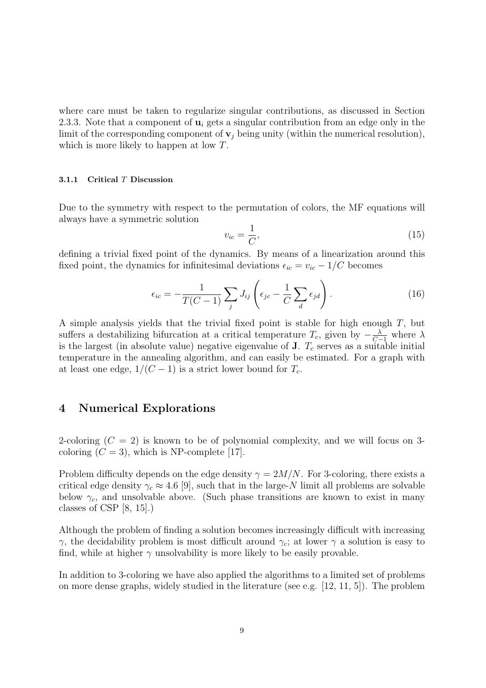where care must be taken to regularize singular contributions, as discussed in Section 2.3.3. Note that a component of  $\mathbf{u}_i$  gets a singular contribution from an edge only in the limit of the corresponding component of  $v_j$  being unity (within the numerical resolution), which is more likely to happen at low T.

#### 3.1.1 Critical T Discussion

Due to the symmetry with respect to the permutation of colors, the MF equations will always have a symmetric solution

$$
v_{ic} = \frac{1}{C},\tag{15}
$$

defining a trivial fixed point of the dynamics. By means of a linearization around this fixed point, the dynamics for infinitesimal deviations  $\epsilon_{ic} = v_{ic} - 1/C$  becomes

$$
\epsilon_{ic} = -\frac{1}{T(C-1)} \sum_{j} J_{ij} \left( \epsilon_{jc} - \frac{1}{C} \sum_{d} \epsilon_{jd} \right). \tag{16}
$$

A simple analysis yields that the trivial fixed point is stable for high enough T, but suffers a destabilizing bifurcation at a critical temperature  $T_c$ , given by  $-\frac{\lambda}{C-1}$  where  $\lambda$ is the largest (in absolute value) negative eigenvalue of  $J$ .  $T_c$  serves as a suitable initial temperature in the annealing algorithm, and can easily be estimated. For a graph with at least one edge,  $1/(C-1)$  is a strict lower bound for  $T_c$ .

## 4 Numerical Explorations

2-coloring  $(C = 2)$  is known to be of polynomial complexity, and we will focus on 3coloring  $(C = 3)$ , which is NP-complete [17].

Problem difficulty depends on the edge density  $\gamma = 2M/N$ . For 3-coloring, there exists a critical edge density  $\gamma_c \approx 4.6$  [9], such that in the large-N limit all problems are solvable below  $\gamma_c$ , and unsolvable above. (Such phase transitions are known to exist in many classes of CSP  $[8, 15]$ .

Although the problem of finding a solution becomes increasingly difficult with increasing γ, the decidability problem is most difficult around  $γ<sub>c</sub>$ ; at lower γ a solution is easy to find, while at higher  $\gamma$  unsolvability is more likely to be easily provable.

In addition to 3-coloring we have also applied the algorithms to a limited set of problems on more dense graphs, widely studied in the literature (see e.g.  $[12, 11, 5]$ ). The problem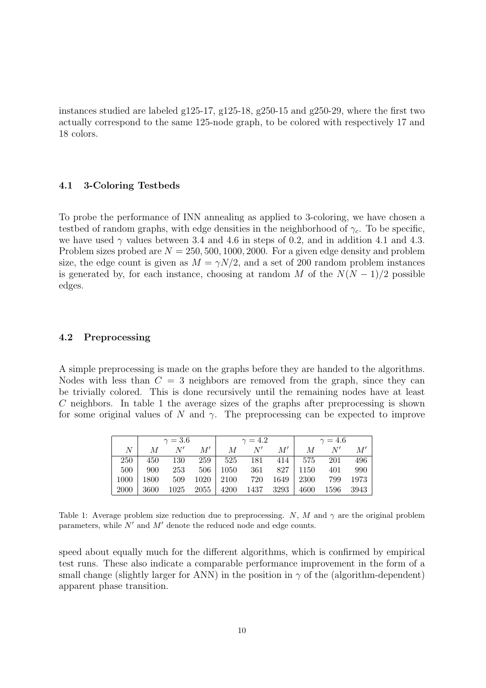instances studied are labeled g125-17, g125-18, g250-15 and g250-29, where the first two actually correspond to the same 125-node graph, to be colored with respectively 17 and 18 colors.

## 4.1 3-Coloring Testbeds

To probe the performance of INN annealing as applied to 3-coloring, we have chosen a testbed of random graphs, with edge densities in the neighborhood of  $\gamma_c$ . To be specific, we have used  $\gamma$  values between 3.4 and 4.6 in steps of 0.2, and in addition 4.1 and 4.3. Problem sizes probed are  $N = 250, 500, 1000, 2000$ . For a given edge density and problem size, the edge count is given as  $M = \gamma N/2$ , and a set of 200 random problem instances is generated by, for each instance, choosing at random M of the  $N(N-1)/2$  possible edges.

## 4.2 Preprocessing

A simple preprocessing is made on the graphs before they are handed to the algorithms. Nodes with less than  $C = 3$  neighbors are removed from the graph, since they can be trivially colored. This is done recursively until the remaining nodes have at least C neighbors. In table 1 the average sizes of the graphs after preprocessing is shown for some original values of N and  $\gamma$ . The preprocessing can be expected to improve

|             | $\gamma = 3.6$ |      |      | $\gamma = 4.2$ |      |      | $\gamma = 4.6$ |      |      |
|-------------|----------------|------|------|----------------|------|------|----------------|------|------|
| $N_{\rm}$   | M              | N'   | M'   | $M_{\odot}$    | N'   | M'   | M              | N'   | M'   |
| 250         | 450            | 130  | 259  | 525            | 181  | 414  | 575            | 201  | 496  |
| 500         | 900            | 253  | 506  | 1050           | 361  | 827  | 1150           | 401  | 990  |
| 1000        | 1800           | 509  | 1020 | 2100           | 720  | 1649 | 2300           | 799  | 1973 |
| <b>2000</b> | 3600           | 1025 | 2055 | 4200           | 1437 | 3293 | 4600           | 1596 | 3943 |

Table 1: Average problem size reduction due to preprocessing. N, M and  $\gamma$  are the original problem parameters, while  $N'$  and  $M'$  denote the reduced node and edge counts.

speed about equally much for the different algorithms, which is confirmed by empirical test runs. These also indicate a comparable performance improvement in the form of a small change (slightly larger for ANN) in the position in  $\gamma$  of the (algorithm-dependent) apparent phase transition.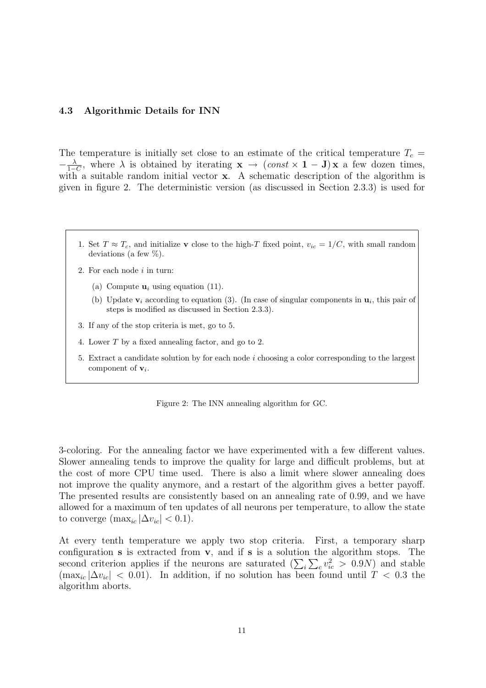#### 4.3 Algorithmic Details for INN

The temperature is initially set close to an estimate of the critical temperature  $T_c$  =  $-\frac{\lambda}{1-}$  $\frac{\lambda}{1-C}$ , where  $\lambda$  is obtained by iterating  $\mathbf{x} \to (const \times \mathbf{1} - \mathbf{J})\mathbf{x}$  a few dozen times, with a suitable random initial vector **x**. A schematic description of the algorithm is given in figure 2. The deterministic version (as discussed in Section 2.3.3) is used for

- 1. Set  $T \approx T_c$ , and initialize v close to the high-T fixed point,  $v_{ic} = 1/C$ , with small random deviations (a few %).
- 2. For each node  $i$  in turn:
	- (a) Compute  $\mathbf{u}_i$  using equation (11).
	- (b) Update  $\mathbf{v}_i$  according to equation (3). (In case of singular components in  $\mathbf{u}_i$ , this pair of steps is modified as discussed in Section 2.3.3).
- 3. If any of the stop criteria is met, go to 5.
- 4. Lower T by a fixed annealing factor, and go to 2.
- 5. Extract a candidate solution by for each node i choosing a color corresponding to the largest component of  $v_i$ .

Figure 2: The INN annealing algorithm for GC.

3-coloring. For the annealing factor we have experimented with a few different values. Slower annealing tends to improve the quality for large and difficult problems, but at the cost of more CPU time used. There is also a limit where slower annealing does not improve the quality anymore, and a restart of the algorithm gives a better payoff. The presented results are consistently based on an annealing rate of 0.99, and we have allowed for a maximum of ten updates of all neurons per temperature, to allow the state to converge (max<sub>ic</sub>  $|\Delta v_{ic}| < 0.1$ ).

At every tenth temperature we apply two stop criteria. First, a temporary sharp configuration **s** is extracted from **v**, and if **s** is a solution the algorithm stops. The conniguration **s** is extracted from **v**, and it **s** is a solution the algorithm stops. The second criterion applies if the neurons are saturated  $(\sum_i \sum_c v_{ic}^2 > 0.9N)$  and stable  $(\max_{ic} |\Delta v_{ic}| < 0.01)$ . In addition, if no solution has been found until  $T < 0.3$  the algorithm aborts.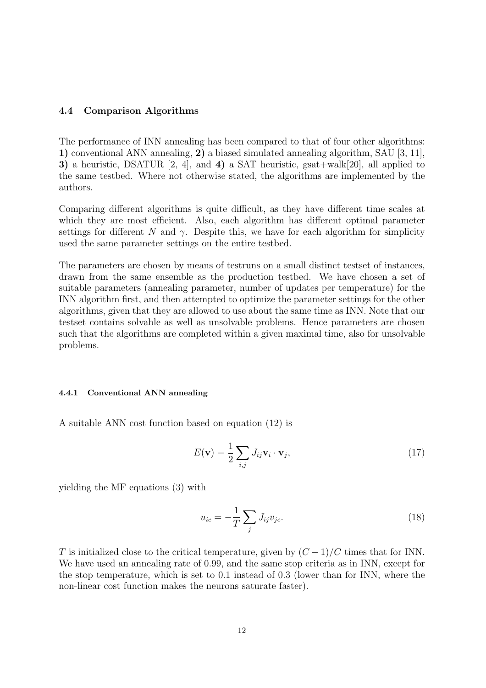## 4.4 Comparison Algorithms

The performance of INN annealing has been compared to that of four other algorithms: 1) conventional ANN annealing, 2) a biased simulated annealing algorithm, SAU [3, 11], 3) a heuristic, DSATUR [2, 4], and 4) a SAT heuristic, gsat+walk[20], all applied to the same testbed. Where not otherwise stated, the algorithms are implemented by the authors.

Comparing different algorithms is quite difficult, as they have different time scales at which they are most efficient. Also, each algorithm has different optimal parameter settings for different N and  $\gamma$ . Despite this, we have for each algorithm for simplicity used the same parameter settings on the entire testbed.

The parameters are chosen by means of testruns on a small distinct testset of instances, drawn from the same ensemble as the production testbed. We have chosen a set of suitable parameters (annealing parameter, number of updates per temperature) for the INN algorithm first, and then attempted to optimize the parameter settings for the other algorithms, given that they are allowed to use about the same time as INN. Note that our testset contains solvable as well as unsolvable problems. Hence parameters are chosen such that the algorithms are completed within a given maximal time, also for unsolvable problems.

#### 4.4.1 Conventional ANN annealing

A suitable ANN cost function based on equation (12) is

$$
E(\mathbf{v}) = \frac{1}{2} \sum_{i,j} J_{ij} \mathbf{v}_i \cdot \mathbf{v}_j,
$$
\n(17)

yielding the MF equations (3) with

$$
u_{ic} = -\frac{1}{T} \sum_{j} J_{ij} v_{jc}.
$$
\n
$$
(18)
$$

T is initialized close to the critical temperature, given by  $(C-1)/C$  times that for INN. We have used an annealing rate of 0.99, and the same stop criteria as in INN, except for the stop temperature, which is set to 0.1 instead of 0.3 (lower than for INN, where the non-linear cost function makes the neurons saturate faster).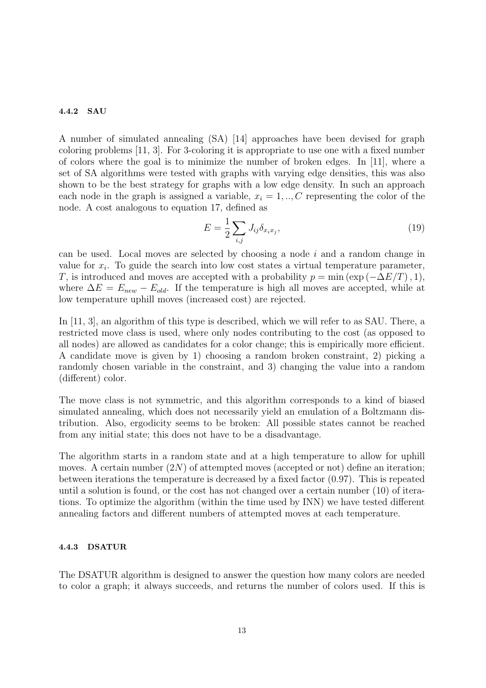## 4.4.2 SAU

A number of simulated annealing (SA) [14] approaches have been devised for graph coloring problems [11, 3]. For 3-coloring it is appropriate to use one with a fixed number of colors where the goal is to minimize the number of broken edges. In [11], where a set of SA algorithms were tested with graphs with varying edge densities, this was also shown to be the best strategy for graphs with a low edge density. In such an approach each node in the graph is assigned a variable,  $x_i = 1, \ldots, C$  representing the color of the node. A cost analogous to equation 17, defined as

$$
E = \frac{1}{2} \sum_{i,j} J_{ij} \delta_{x_i x_j},\tag{19}
$$

can be used. Local moves are selected by choosing a node  $i$  and a random change in value for  $x_i$ . To guide the search into low cost states a virtual temperature parameter, T, is introduced and moves are accepted with a probability  $p = \min (\exp(-\Delta E/T), 1)$ , where  $\Delta E = E_{new} - E_{old}$ . If the temperature is high all moves are accepted, while at low temperature uphill moves (increased cost) are rejected.

In [11, 3], an algorithm of this type is described, which we will refer to as SAU. There, a restricted move class is used, where only nodes contributing to the cost (as opposed to all nodes) are allowed as candidates for a color change; this is empirically more efficient. A candidate move is given by 1) choosing a random broken constraint, 2) picking a randomly chosen variable in the constraint, and 3) changing the value into a random (different) color.

The move class is not symmetric, and this algorithm corresponds to a kind of biased simulated annealing, which does not necessarily yield an emulation of a Boltzmann distribution. Also, ergodicity seems to be broken: All possible states cannot be reached from any initial state; this does not have to be a disadvantage.

The algorithm starts in a random state and at a high temperature to allow for uphill moves. A certain number  $(2N)$  of attempted moves (accepted or not) define an iteration; between iterations the temperature is decreased by a fixed factor (0.97). This is repeated until a solution is found, or the cost has not changed over a certain number (10) of iterations. To optimize the algorithm (within the time used by INN) we have tested different annealing factors and different numbers of attempted moves at each temperature.

## 4.4.3 DSATUR

The DSATUR algorithm is designed to answer the question how many colors are needed to color a graph; it always succeeds, and returns the number of colors used. If this is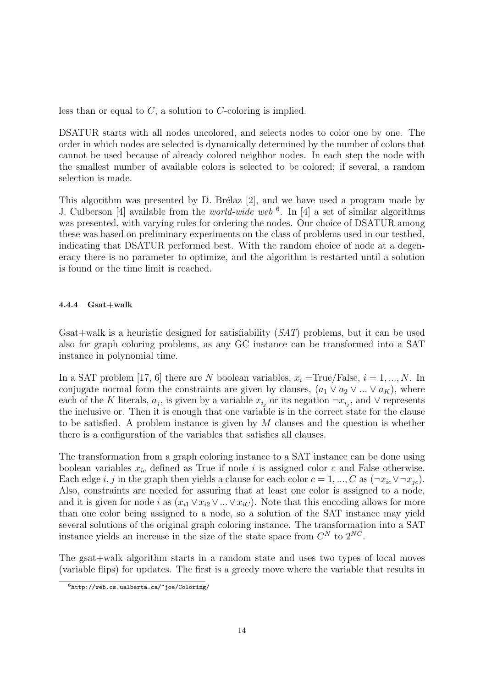less than or equal to  $C$ , a solution to  $C$ -coloring is implied.

DSATUR starts with all nodes uncolored, and selects nodes to color one by one. The order in which nodes are selected is dynamically determined by the number of colors that cannot be used because of already colored neighbor nodes. In each step the node with the smallest number of available colors is selected to be colored; if several, a random selection is made.

This algorithm was presented by D. Brélaz [2], and we have used a program made by J. Culberson [4] available from the *world-wide web*  $\frac{6}{1}$ . In [4] a set of similar algorithms was presented, with varying rules for ordering the nodes. Our choice of DSATUR among these was based on preliminary experiments on the class of problems used in our testbed, indicating that DSATUR performed best. With the random choice of node at a degeneracy there is no parameter to optimize, and the algorithm is restarted until a solution is found or the time limit is reached.

#### 4.4.4 Gsat+walk

Gsat+walk is a heuristic designed for satisfiability (SAT) problems, but it can be used also for graph coloring problems, as any GC instance can be transformed into a SAT instance in polynomial time.

In a SAT problem [17, 6] there are N boolean variables,  $x_i = \text{True/False}, i = 1, ..., N$ . In conjugate normal form the constraints are given by clauses,  $(a_1 \vee a_2 \vee ... \vee a_k)$ , where each of the K literals,  $a_j$ , is given by a variable  $x_{i_j}$  or its negation  $\neg x_{i_j}$ , and  $\vee$  represents the inclusive or. Then it is enough that one variable is in the correct state for the clause to be satisfied. A problem instance is given by  $M$  clauses and the question is whether there is a configuration of the variables that satisfies all clauses.

The transformation from a graph coloring instance to a SAT instance can be done using boolean variables  $x_{ic}$  defined as True if node i is assigned color c and False otherwise. Each edge i, j in the graph then yields a clause for each color  $c = 1, ..., C$  as  $(\neg x_{ic} \lor \neg x_{ic})$ . Also, constraints are needed for assuring that at least one color is assigned to a node, and it is given for node i as  $(x_{i1} \vee x_{i2} \vee ... \vee x_{iC})$ . Note that this encoding allows for more than one color being assigned to a node, so a solution of the SAT instance may yield several solutions of the original graph coloring instance. The transformation into a SAT instance yields an increase in the size of the state space from  $C^N$  to  $2^{NC}$ .

The gsat+walk algorithm starts in a random state and uses two types of local moves (variable flips) for updates. The first is a greedy move where the variable that results in

 $6$ http://web.cs.ualberta.ca/~joe/Coloring/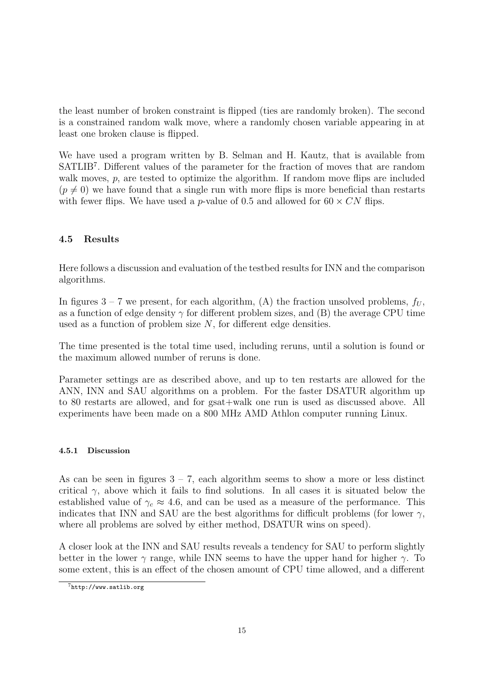the least number of broken constraint is flipped (ties are randomly broken). The second is a constrained random walk move, where a randomly chosen variable appearing in at least one broken clause is flipped.

We have used a program written by B. Selman and H. Kautz, that is available from SATLIB<sup>7</sup>. Different values of the parameter for the fraction of moves that are random walk moves, p, are tested to optimize the algorithm. If random move flips are included  $(p \neq 0)$  we have found that a single run with more flips is more beneficial than restarts with fewer flips. We have used a p-value of 0.5 and allowed for  $60 \times CN$  flips.

## 4.5 Results

Here follows a discussion and evaluation of the testbed results for INN and the comparison algorithms.

In figures  $3 - 7$  we present, for each algorithm, (A) the fraction unsolved problems,  $f_U$ , as a function of edge density  $\gamma$  for different problem sizes, and (B) the average CPU time used as a function of problem size  $N$ , for different edge densities.

The time presented is the total time used, including reruns, until a solution is found or the maximum allowed number of reruns is done.

Parameter settings are as described above, and up to ten restarts are allowed for the ANN, INN and SAU algorithms on a problem. For the faster DSATUR algorithm up to 80 restarts are allowed, and for gsat+walk one run is used as discussed above. All experiments have been made on a 800 MHz AMD Athlon computer running Linux.

## 4.5.1 Discussion

As can be seen in figures  $3 - 7$ , each algorithm seems to show a more or less distinct critical  $\gamma$ , above which it fails to find solutions. In all cases it is situated below the established value of  $\gamma_c \approx 4.6$ , and can be used as a measure of the performance. This indicates that INN and SAU are the best algorithms for difficult problems (for lower  $\gamma$ , where all problems are solved by either method, DSATUR wins on speed).

A closer look at the INN and SAU results reveals a tendency for SAU to perform slightly better in the lower  $\gamma$  range, while INN seems to have the upper hand for higher  $\gamma$ . To some extent, this is an effect of the chosen amount of CPU time allowed, and a different

 $7$ http://www.satlib.org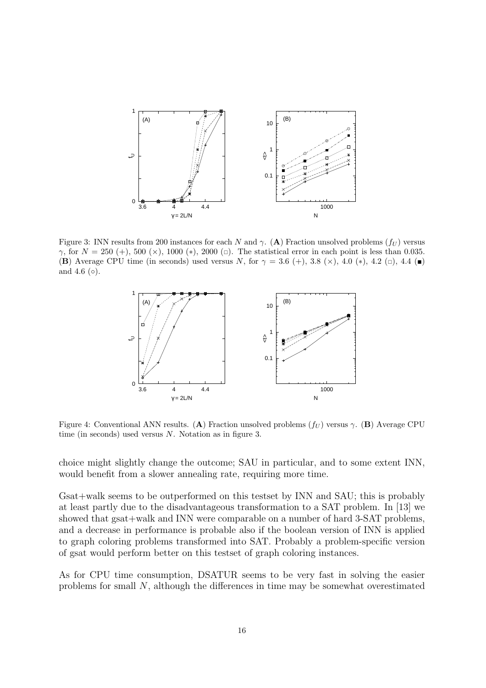

Figure 3: INN results from 200 instances for each N and  $\gamma$ . (A) Fraction unsolved problems ( $f_U$ ) versus γ, for  $N = 250$  (+), 500 (×), 1000 (\*), 2000 (=). The statistical error in each point is less than 0.035. (B) Average CPU time (in seconds) used versus N, for  $\gamma = 3.6 \ (+)$ , 3.8 ( $\times$ ), 4.0 (\*), 4.2 ( $\Box$ ), 4.4 (■) and 4.6  $(\circ)$ .



Figure 4: Conventional ANN results. (A) Fraction unsolved problems  $(f_U)$  versus  $\gamma$ . (B) Average CPU time (in seconds) used versus  $N$ . Notation as in figure 3.

choice might slightly change the outcome; SAU in particular, and to some extent INN, would benefit from a slower annealing rate, requiring more time.

Gsat+walk seems to be outperformed on this testset by INN and SAU; this is probably at least partly due to the disadvantageous transformation to a SAT problem. In [13] we showed that gsat+walk and INN were comparable on a number of hard 3-SAT problems, and a decrease in performance is probable also if the boolean version of INN is applied to graph coloring problems transformed into SAT. Probably a problem-specific version of gsat would perform better on this testset of graph coloring instances.

As for CPU time consumption, DSATUR seems to be very fast in solving the easier problems for small N, although the differences in time may be somewhat overestimated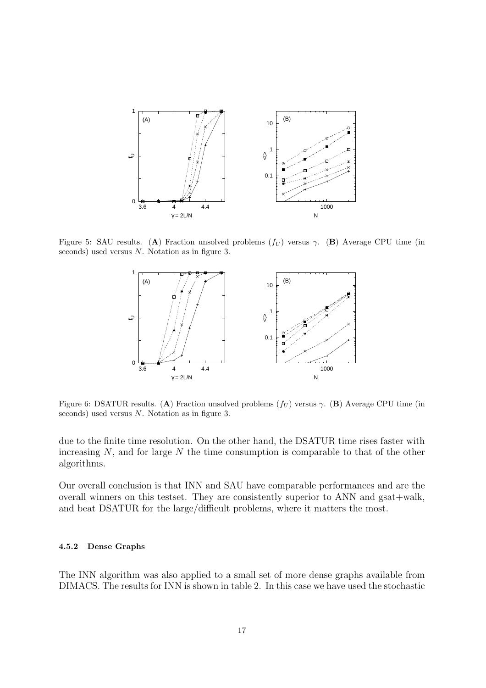

Figure 5: SAU results. (A) Fraction unsolved problems  $(f_U)$  versus γ. (B) Average CPU time (in seconds) used versus N. Notation as in figure 3.



Figure 6: DSATUR results. (A) Fraction unsolved problems  $(f_U)$  versus  $\gamma$ . (B) Average CPU time (in seconds) used versus N. Notation as in figure 3.

due to the finite time resolution. On the other hand, the DSATUR time rises faster with increasing  $N$ , and for large  $N$  the time consumption is comparable to that of the other algorithms.

Our overall conclusion is that INN and SAU have comparable performances and are the overall winners on this testset. They are consistently superior to ANN and gsat+walk, and beat DSATUR for the large/difficult problems, where it matters the most.

#### 4.5.2 Dense Graphs

The INN algorithm was also applied to a small set of more dense graphs available from DIMACS. The results for INN is shown in table 2. In this case we have used the stochastic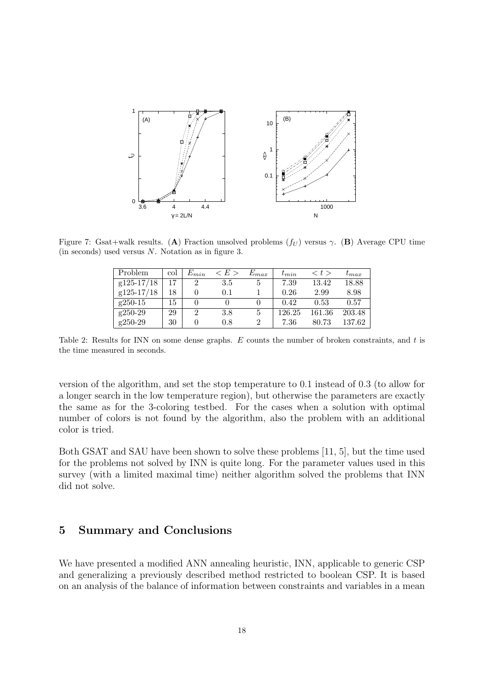

Figure 7: Gsat+walk results. (A) Fraction unsolved problems  $(f_U)$  versus γ. (B) Average CPU time (in seconds) used versus N. Notation as in figure 3.

| <b>Problem</b> | col | $E_{min}$      | < E > | $E_{max}$ | $t_{min}$ | $\langle t \rangle$ | $\iota_{max}$ |
|----------------|-----|----------------|-------|-----------|-----------|---------------------|---------------|
| $g125-17/18$   |     | 2              | 3.5   | 5         | 7.39      | 13.42               | 18.88         |
| $g125-17/18$   | 18  |                | 0.1   |           | 0.26      | 2.99                | 8.98          |
| $g250-15$      | 15  |                |       |           | 0.42      | 0.53                | 0.57          |
| g250-29        | 29  | $\overline{2}$ | 3.8   | 5         | 126.25    | 161.36              | 203.48        |
| g250-29        | 30  |                | 0.8   | 2         | 7.36      | 80.73               | 137.62        |

Table 2: Results for INN on some dense graphs. E counts the number of broken constraints, and t is the time measured in seconds.

version of the algorithm, and set the stop temperature to 0.1 instead of 0.3 (to allow for a longer search in the low temperature region), but otherwise the parameters are exactly the same as for the 3-coloring testbed. For the cases when a solution with optimal number of colors is not found by the algorithm, also the problem with an additional color is tried.

Both GSAT and SAU have been shown to solve these problems [11, 5], but the time used for the problems not solved by INN is quite long. For the parameter values used in this survey (with a limited maximal time) neither algorithm solved the problems that INN did not solve.

## 5 Summary and Conclusions

We have presented a modified ANN annealing heuristic, INN, applicable to generic CSP and generalizing a previously described method restricted to boolean CSP. It is based on an analysis of the balance of information between constraints and variables in a mean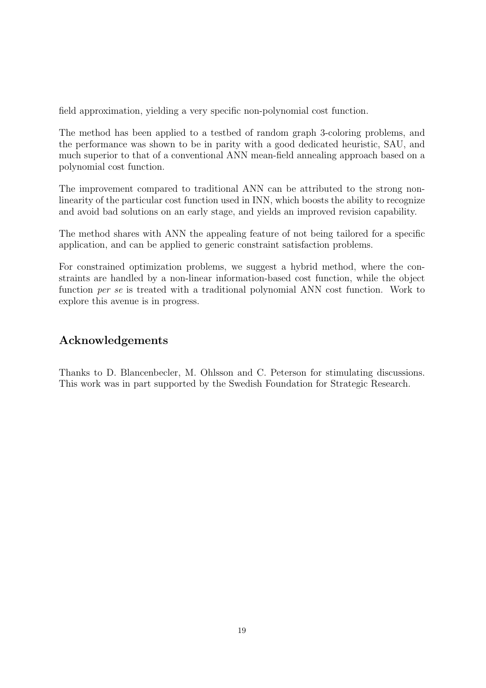field approximation, yielding a very specific non-polynomial cost function.

The method has been applied to a testbed of random graph 3-coloring problems, and the performance was shown to be in parity with a good dedicated heuristic, SAU, and much superior to that of a conventional ANN mean-field annealing approach based on a polynomial cost function.

The improvement compared to traditional ANN can be attributed to the strong nonlinearity of the particular cost function used in INN, which boosts the ability to recognize and avoid bad solutions on an early stage, and yields an improved revision capability.

The method shares with ANN the appealing feature of not being tailored for a specific application, and can be applied to generic constraint satisfaction problems.

For constrained optimization problems, we suggest a hybrid method, where the constraints are handled by a non-linear information-based cost function, while the object function per se is treated with a traditional polynomial ANN cost function. Work to explore this avenue is in progress.

# Acknowledgements

Thanks to D. Blancenbecler, M. Ohlsson and C. Peterson for stimulating discussions. This work was in part supported by the Swedish Foundation for Strategic Research.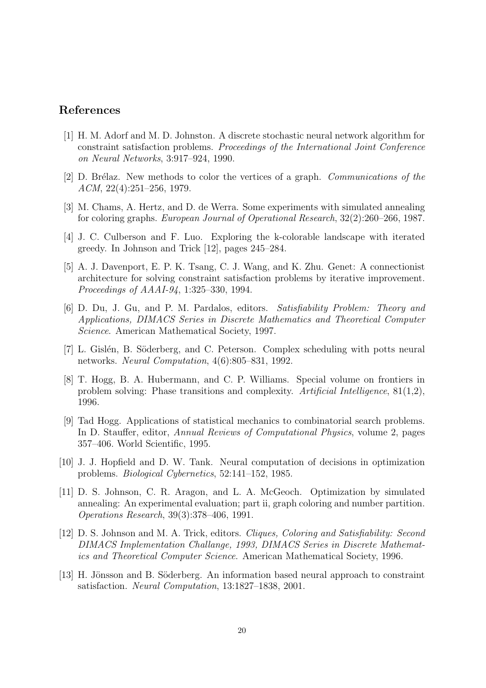## References

- [1] H. M. Adorf and M. D. Johnston. A discrete stochastic neural network algorithm for constraint satisfaction problems. Proceedings of the International Joint Conference on Neural Networks, 3:917–924, 1990.
- [2] D. Brélaz. New methods to color the vertices of a graph. Communications of the ACM, 22(4):251–256, 1979.
- [3] M. Chams, A. Hertz, and D. de Werra. Some experiments with simulated annealing for coloring graphs. European Journal of Operational Research, 32(2):260–266, 1987.
- [4] J. C. Culberson and F. Luo. Exploring the k-colorable landscape with iterated greedy. In Johnson and Trick [12], pages 245–284.
- [5] A. J. Davenport, E. P. K. Tsang, C. J. Wang, and K. Zhu. Genet: A connectionist architecture for solving constraint satisfaction problems by iterative improvement. Proceedings of AAAI-94, 1:325–330, 1994.
- [6] D. Du, J. Gu, and P. M. Pardalos, editors. Satisfiability Problem: Theory and Applications, DIMACS Series in Discrete Mathematics and Theoretical Computer Science. American Mathematical Society, 1997.
- [7] L. Gislén, B. Söderberg, and C. Peterson. Complex scheduling with potts neural networks. Neural Computation, 4(6):805–831, 1992.
- [8] T. Hogg, B. A. Hubermann, and C. P. Williams. Special volume on frontiers in problem solving: Phase transitions and complexity. Artificial Intelligence, 81(1,2), 1996.
- [9] Tad Hogg. Applications of statistical mechanics to combinatorial search problems. In D. Stauffer, editor, Annual Reviews of Computational Physics, volume 2, pages 357–406. World Scientific, 1995.
- [10] J. J. Hopfield and D. W. Tank. Neural computation of decisions in optimization problems. Biological Cybernetics, 52:141–152, 1985.
- [11] D. S. Johnson, C. R. Aragon, and L. A. McGeoch. Optimization by simulated annealing: An experimental evaluation; part ii, graph coloring and number partition. Operations Research, 39(3):378–406, 1991.
- [12] D. S. Johnson and M. A. Trick, editors. Cliques, Coloring and Satisfiability: Second DIMACS Implementation Challange, 1993, DIMACS Series in Discrete Mathematics and Theoretical Computer Science. American Mathematical Society, 1996.
- [13] H. Jönsson and B. Söderberg. An information based neural approach to constraint satisfaction. Neural Computation, 13:1827–1838, 2001.